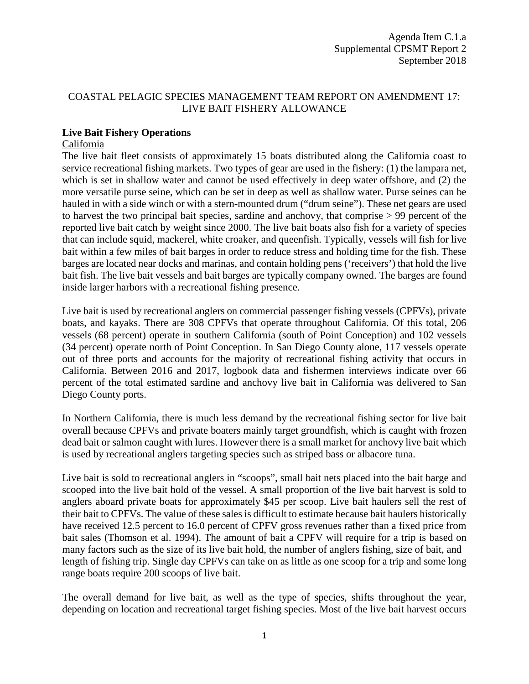# COASTAL PELAGIC SPECIES MANAGEMENT TEAM REPORT ON AMENDMENT 17: LIVE BAIT FISHERY ALLOWANCE

### **Live Bait Fishery Operations**

#### California

The live bait fleet consists of approximately 15 boats distributed along the California coast to service recreational fishing markets. Two types of gear are used in the fishery: (1) the lampara net, which is set in shallow water and cannot be used effectively in deep water offshore, and (2) the more versatile purse seine, which can be set in deep as well as shallow water. Purse seines can be hauled in with a side winch or with a stern-mounted drum ("drum seine"). These net gears are used to harvest the two principal bait species, sardine and anchovy, that comprise > 99 percent of the reported live bait catch by weight since 2000. The live bait boats also fish for a variety of species that can include squid, mackerel, white croaker, and queenfish. Typically, vessels will fish for live bait within a few miles of bait barges in order to reduce stress and holding time for the fish. These barges are located near docks and marinas, and contain holding pens ('receivers') that hold the live bait fish. The live bait vessels and bait barges are typically company owned. The barges are found inside larger harbors with a recreational fishing presence.

Live bait is used by recreational anglers on commercial passenger fishing vessels (CPFVs), private boats, and kayaks. There are 308 CPFVs that operate throughout California. Of this total, 206 vessels (68 percent) operate in southern California (south of Point Conception) and 102 vessels (34 percent) operate north of Point Conception. In San Diego County alone, 117 vessels operate out of three ports and accounts for the majority of recreational fishing activity that occurs in California. Between 2016 and 2017, logbook data and fishermen interviews indicate over 66 percent of the total estimated sardine and anchovy live bait in California was delivered to San Diego County ports.

In Northern California, there is much less demand by the recreational fishing sector for live bait overall because CPFVs and private boaters mainly target groundfish, which is caught with frozen dead bait or salmon caught with lures. However there is a small market for anchovy live bait which is used by recreational anglers targeting species such as striped bass or albacore tuna.

Live bait is sold to recreational anglers in "scoops", small bait nets placed into the bait barge and scooped into the live bait hold of the vessel. A small proportion of the live bait harvest is sold to anglers aboard private boats for approximately \$45 per scoop. Live bait haulers sell the rest of their bait to CPFVs. The value of these sales is difficult to estimate because bait haulers historically have received 12.5 percent to 16.0 percent of CPFV gross revenues rather than a fixed price from bait sales (Thomson et al. 1994). The amount of bait a CPFV will require for a trip is based on many factors such as the size of its live bait hold, the number of anglers fishing, size of bait, and length of fishing trip. Single day CPFVs can take on as little as one scoop for a trip and some long range boats require 200 scoops of live bait.

The overall demand for live bait, as well as the type of species, shifts throughout the year, depending on location and recreational target fishing species. Most of the live bait harvest occurs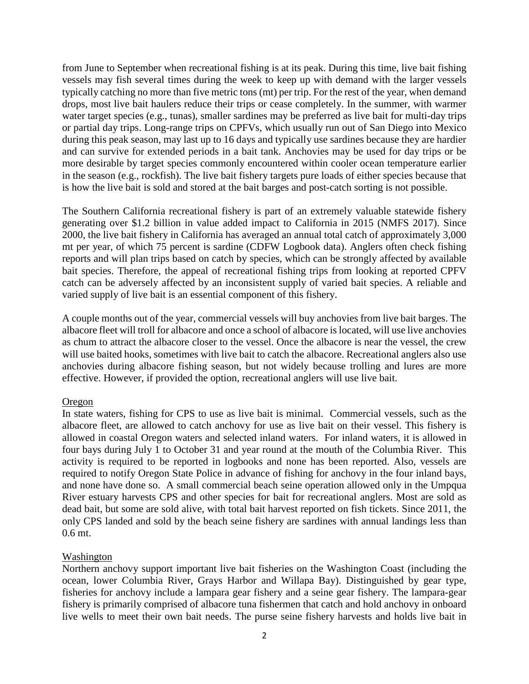from June to September when recreational fishing is at its peak. During this time, live bait fishing vessels may fish several times during the week to keep up with demand with the larger vessels typically catching no more than five metric tons (mt) per trip. For the rest of the year, when demand drops, most live bait haulers reduce their trips or cease completely. In the summer, with warmer water target species (e.g., tunas), smaller sardines may be preferred as live bait for multi-day trips or partial day trips. Long-range trips on CPFVs, which usually run out of San Diego into Mexico during this peak season, may last up to 16 days and typically use sardines because they are hardier and can survive for extended periods in a bait tank. Anchovies may be used for day trips or be more desirable by target species commonly encountered within cooler ocean temperature earlier in the season (e.g., rockfish). The live bait fishery targets pure loads of either species because that is how the live bait is sold and stored at the bait barges and post-catch sorting is not possible.

The Southern California recreational fishery is part of an extremely valuable statewide fishery generating over \$1.2 billion in value added impact to California in 2015 (NMFS 2017). Since 2000, the live bait fishery in California has averaged an annual total catch of approximately 3,000 mt per year, of which 75 percent is sardine (CDFW Logbook data). Anglers often check fishing reports and will plan trips based on catch by species, which can be strongly affected by available bait species. Therefore, the appeal of recreational fishing trips from looking at reported CPFV catch can be adversely affected by an inconsistent supply of varied bait species. A reliable and varied supply of live bait is an essential component of this fishery.

A couple months out of the year, commercial vessels will buy anchovies from live bait barges. The albacore fleet will troll for albacore and once a school of albacore is located, will use live anchovies as chum to attract the albacore closer to the vessel. Once the albacore is near the vessel, the crew will use baited hooks, sometimes with live bait to catch the albacore. Recreational anglers also use anchovies during albacore fishing season, but not widely because trolling and lures are more effective. However, if provided the option, recreational anglers will use live bait.

### Oregon

In state waters, fishing for CPS to use as live bait is minimal. Commercial vessels, such as the albacore fleet, are allowed to catch anchovy for use as live bait on their vessel. This fishery is allowed in coastal Oregon waters and selected inland waters. For inland waters, it is allowed in four bays during July 1 to October 31 and year round at the mouth of the Columbia River. This activity is required to be reported in logbooks and none has been reported. Also, vessels are required to notify Oregon State Police in advance of fishing for anchovy in the four inland bays, and none have done so. A small commercial beach seine operation allowed only in the Umpqua River estuary harvests CPS and other species for bait for recreational anglers. Most are sold as dead bait, but some are sold alive, with total bait harvest reported on fish tickets. Since 2011, the only CPS landed and sold by the beach seine fishery are sardines with annual landings less than 0.6 mt.

### Washington

Northern anchovy support important live bait fisheries on the Washington Coast (including the ocean, lower Columbia River, Grays Harbor and Willapa Bay). Distinguished by gear type, fisheries for anchovy include a lampara gear fishery and a seine gear fishery. The lampara-gear fishery is primarily comprised of albacore tuna fishermen that catch and hold anchovy in onboard live wells to meet their own bait needs. The purse seine fishery harvests and holds live bait in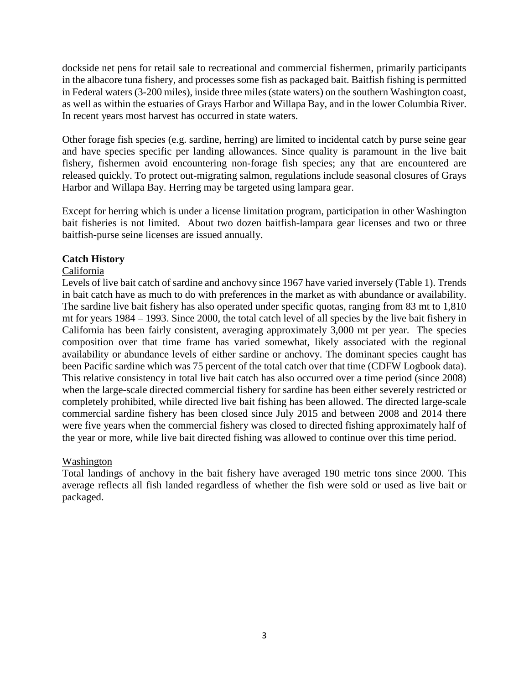dockside net pens for retail sale to recreational and commercial fishermen, primarily participants in the albacore tuna fishery, and processes some fish as packaged bait. Baitfish fishing is permitted in Federal waters (3-200 miles), inside three miles (state waters) on the southern Washington coast, as well as within the estuaries of Grays Harbor and Willapa Bay, and in the lower Columbia River. In recent years most harvest has occurred in state waters.

Other forage fish species (e.g. sardine, herring) are limited to incidental catch by purse seine gear and have species specific per landing allowances. Since quality is paramount in the live bait fishery, fishermen avoid encountering non-forage fish species; any that are encountered are released quickly. To protect out-migrating salmon, regulations include seasonal closures of Grays Harbor and Willapa Bay. Herring may be targeted using lampara gear.

Except for herring which is under a license limitation program, participation in other Washington bait fisheries is not limited. About two dozen baitfish-lampara gear licenses and two or three baitfish-purse seine licenses are issued annually.

### **Catch History**

### California

Levels of live bait catch of sardine and anchovy since 1967 have varied inversely (Table 1). Trends in bait catch have as much to do with preferences in the market as with abundance or availability. The sardine live bait fishery has also operated under specific quotas, ranging from 83 mt to 1,810 mt for years 1984 – 1993. Since 2000, the total catch level of all species by the live bait fishery in California has been fairly consistent, averaging approximately 3,000 mt per year. The species composition over that time frame has varied somewhat, likely associated with the regional availability or abundance levels of either sardine or anchovy. The dominant species caught has been Pacific sardine which was 75 percent of the total catch over that time (CDFW Logbook data). This relative consistency in total live bait catch has also occurred over a time period (since 2008) when the large-scale directed commercial fishery for sardine has been either severely restricted or completely prohibited, while directed live bait fishing has been allowed. The directed large-scale commercial sardine fishery has been closed since July 2015 and between 2008 and 2014 there were five years when the commercial fishery was closed to directed fishing approximately half of the year or more, while live bait directed fishing was allowed to continue over this time period.

### Washington

Total landings of anchovy in the bait fishery have averaged 190 metric tons since 2000. This average reflects all fish landed regardless of whether the fish were sold or used as live bait or packaged.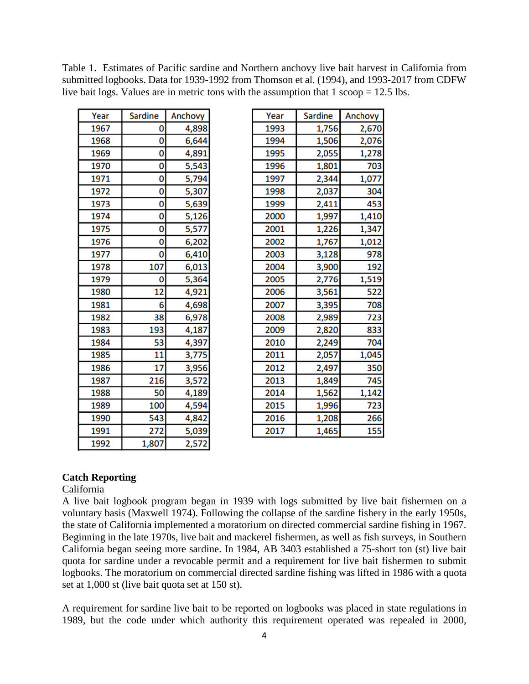| Year | Sardine         | Anchovy |
|------|-----------------|---------|
| 1967 | 0               | 4,898   |
| 1968 | 0               | 6,644   |
| 1969 | 0               | 4,891   |
| 1970 | ō               | 5,543   |
| 1971 | 0               | 5,794   |
| 1972 | 0               | 5,307   |
| 1973 | 0               | 5,639   |
| 1974 | 0               | 5,126   |
| 1975 | ō               | 5,577   |
| 1976 | 0               | 6,202   |
| 1977 | 0               | 6,410   |
| 1978 | 107             | 6,013   |
| 1979 | 0               | 5,364   |
| 1980 | $\overline{12}$ | 4,921   |
| 1981 | 6               | 4,698   |
| 1982 | 38              | 6,978   |
| 1983 | 193             | 4,187   |
| 1984 | 53              | 4,397   |
| 1985 | $\overline{11}$ | 3,775   |
| 1986 | 17              | 3,956   |
| 1987 | 216             | 3,572   |
| 1988 | 50              | 4,189   |
| 1989 | 100             | 4,594   |
| 1990 | 543             | 4,842   |
| 1991 | 272             | 5,039   |
| 1992 | 1,807           | 2,572   |

| Table 1. Estimates of Pacific sardine and Northern anchovy live bait harvest in California from |
|-------------------------------------------------------------------------------------------------|
| submitted logbooks. Data for 1939-1992 from Thomson et al. (1994), and 1993-2017 from CDFW      |
| live bait logs. Values are in metric tons with the assumption that $1$ scoop = 12.5 lbs.        |
|                                                                                                 |

| Year | <b>Sardine</b> | Anchovy |
|------|----------------|---------|
| 1993 | 1,756          | 2,670   |
| 1994 | 1,506          | 2,076   |
| 1995 | 2,055          | 1,278   |
| 1996 | 1,801          | 703     |
| 1997 | 2,344          | 1,077   |
| 1998 | 2,037          | 304     |
| 1999 | 2,411          | 453     |
| 2000 | 1,997          | 1,410   |
| 2001 | 1,226          | 1,347   |
| 2002 | 1,767          | 1,012   |
| 2003 | 3,128          | 978     |
| 2004 | 3,900          | 192     |
| 2005 | 2,776          | 1,519   |
| 2006 | 3,561          | 522     |
| 2007 | 3,395          | 708     |
| 2008 | 2,989          | 723     |
| 2009 | 2,820          | 833     |
| 2010 | 2,249          | 704     |
| 2011 | 2,057          | 1,045   |
| 2012 | 2,497          | 350     |
| 2013 | 1,849          | 745     |
| 2014 | 1,562          | 1,142   |
| 2015 | 1,996          | 723     |
| 2016 | 1,208          | 266     |
| 2017 | 1,465          | 155     |

## **Catch Reporting**

#### California

A live bait logbook program began in 1939 with logs submitted by live bait fishermen on a voluntary basis (Maxwell 1974). Following the collapse of the sardine fishery in the early 1950s, the state of California implemented a moratorium on directed commercial sardine fishing in 1967. Beginning in the late 1970s, live bait and mackerel fishermen, as well as fish surveys, in Southern California began seeing more sardine. In 1984, AB 3403 established a 75-short ton (st) live bait quota for sardine under a revocable permit and a requirement for live bait fishermen to submit logbooks. The moratorium on commercial directed sardine fishing was lifted in 1986 with a quota set at 1,000 st (live bait quota set at 150 st).

A requirement for sardine live bait to be reported on logbooks was placed in state regulations in 1989, but the code under which authority this requirement operated was repealed in 2000,